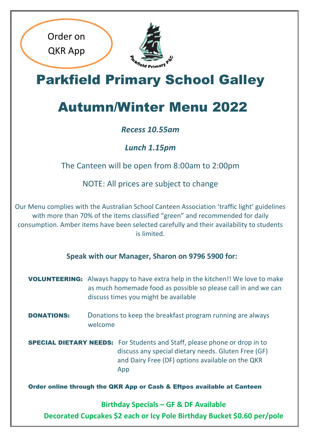

Order on

QKR App

Parkfield Primary School Galley

# Autumn/Winter Menu 2022

#### *Recess 10.55am*

*Lunch 1.15pm*

The Canteen will be open from 8:00am to 2:00pm

NOTE: All prices are subject to change

Our Menu complies with the Australian School Canteen Association 'traffic light' guidelines with more than 70% of the items classified "green" and recommended for daily consumption. Amber items have been selected carefully and their availability to students is limited.

**Speak with our Manager, Sharon on 9796 5900 for:**

VOLUNTEERING: Always happy to have extra help in the kitchen!! We love to make as much homemade food as possible so please call in and we can discuss times you might be available

**DONATIONS:** Donations to keep the breakfast program running are always welcome

SPECIAL DIETARY NEEDS:For Students and Staff, please phone or drop in to discuss any special dietary needs. Gluten Free (GF) and Dairy Free (DF) options available on the QKR App

Order online through the QKR App or Cash & Eftpos available at Canteen

**Birthday Specials – GF & DF Available Decorated Cupcakes \$2 each or Icy Pole Birthday Bucket \$0.60 per/pole**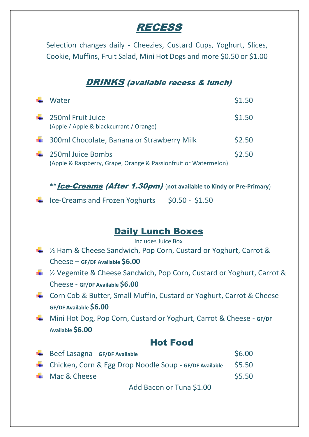# **RECESS**

Selection changes daily - Cheezies, Custard Cups, Yoghurt, Slices, Cookie, Muffins, Fruit Salad, Mini Hot Dogs and more \$0.50 or \$1.00

#### DRINKS (available recess & lunch)

|     | Water                                                                                | \$1.50 |
|-----|--------------------------------------------------------------------------------------|--------|
| -∎  | 250ml Fruit Juice<br>(Apple / Apple & blackcurrant / Orange)                         | \$1.50 |
|     | 4 300ml Chocolate, Banana or Strawberry Milk                                         | \$2.50 |
| . . | 250ml Juice Bombs<br>(Apple & Raspberry, Grape, Orange & Passionfruit or Watermelon) | \$2.50 |

**\*\***Ice-Creams (After 1.30pm) (**not available to Kindy or Pre-Primary**)

 $\ddot{ }$  Ice-Creams and Frozen Yoghurts \$0.50 - \$1.50

#### Daily Lunch Boxes

Includes Juice Box

- $\frac{1}{2}$  % Ham & Cheese Sandwich, Pop Corn, Custard or Yoghurt, Carrot & Cheese – **GF/DF Available \$6.00**
- $\frac{1}{2}$  % Vegemite & Cheese Sandwich, Pop Corn, Custard or Yoghurt, Carrot & Cheese - **GF/DF Available \$6.00**
- Corn Cob & Butter, Small Muffin, Custard or Yoghurt, Carrot & Cheese **GF/DF Available \$6.00**
- Mini Hot Dog, Pop Corn, Custard or Yoghurt, Carrot & Cheese **GF/DF Available \$6.00**

#### Hot Food

| $\bigstar$ Beef Lasagna - GF/DF Available              | \$6.00 |
|--------------------------------------------------------|--------|
| Chicken, Corn & Egg Drop Noodle Soup - GF/DF Available | \$5.50 |
| $\bigstar$ Mac & Cheese                                | \$5.50 |
|                                                        |        |

Add Bacon or Tuna \$1.00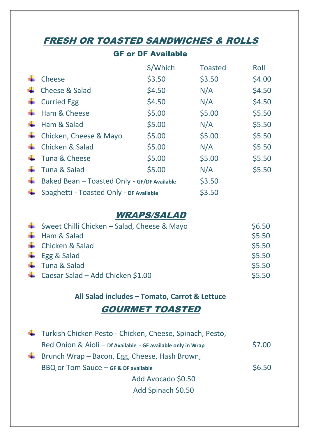## FRESH OR TOASTED SANDWICHES & ROLLS

#### GF or DF Available

|   |                                             | S/Which | <b>Toasted</b> | Roll   |
|---|---------------------------------------------|---------|----------------|--------|
|   | Cheese                                      | \$3.50  | \$3.50         | \$4.00 |
| ₩ | Cheese & Salad                              | \$4.50  | N/A            | \$4.50 |
|   | <b>Curried Egg</b>                          | \$4.50  | N/A            | \$4.50 |
|   | Ham & Cheese                                | \$5.00  | \$5.00         | \$5.50 |
|   | Ham & Salad                                 | \$5.00  | N/A            | \$5.50 |
|   | Chicken, Cheese & Mayo                      | \$5.00  | \$5.00         | \$5.50 |
|   | Chicken & Salad                             | \$5.00  | N/A            | \$5.50 |
|   | Tuna & Cheese                               | \$5.00  | \$5.00         | \$5.50 |
|   | Tuna & Salad                                | \$5.00  | N/A            | \$5.50 |
| ÷ | Baked Bean - Toasted Only - GF/DF Available |         | \$3.50         |        |
|   | Spaghetti - Toasted Only - DF Available     |         | \$3.50         |        |

#### WRAPS/SALAD

| Sweet Chilli Chicken - Salad, Cheese & Mayo | \$6.50 |
|---------------------------------------------|--------|
| $\bigstar$ Ham & Salad                      | \$5.50 |
| ← Chicken & Salad                           | \$5.50 |
| $\leftarrow$ Egg & Salad                    | \$5.50 |
| $\leftarrow$ Tuna & Salad                   | \$5.50 |
| ← Caesar Salad – Add Chicken \$1.00         | \$5.50 |

#### **All Salad includes – Tomato, Carrot & Lettuce**

#### GOURMET TOASTED

| Turkish Chicken Pesto - Chicken, Cheese, Spinach, Pesto,                      |        |
|-------------------------------------------------------------------------------|--------|
| Red Onion & Aioli - Df Available - GF available only in Wrap                  | \$7.00 |
| <b><math>\frac{1}{2}</math></b> Brunch Wrap – Bacon, Egg, Cheese, Hash Brown, |        |
| BBQ or Tom Sauce - GF & DF available                                          | \$6.50 |
| Add Avocado \$0.50                                                            |        |
| Add Spinach \$0.50                                                            |        |